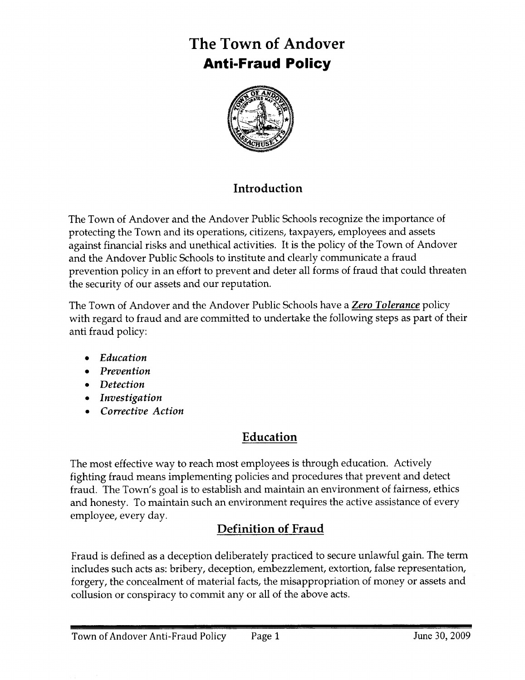

#### Introduction

The Town of Andover and the Andover Public Schools recognize the importance of protecting the Town and its operations, citizens, taxpayers, employees and assets against financial risks and unethical activities. It is the policy of the Town of Andover and the Andover Public Schools to institute and clearly communicate a fraud prevention policy in an effort to prevent and deter all forms of fraud that could threaten the security of our assets and our reputation

The Town of Andover and the Andover Public Schools have a Zero Tolerance policy with regard to fraud and are committed to undertake the following steps as part of their anti fraud policy

- Education
- Prevention
- Detection
- Investigation
- Corrective Action

### Education

The most effective way to reach most employees is through education. Actively fighting fraud means implementing policies and procedures that prevent and detect fraud. The Town's goal is to establish and maintain an environment of fairness, ethics and honesty. To maintain such an environment requires the active assistance of every employee, every day.

#### Definition of Fraud

Fraud is defined as a deception deliberately practiced to secure unlawful gain The term includes such acts as: bribery, deception, embezzlement, extortion, false representation, forgery, the concealment of material facts, the misappropriation of money or assets and collusion or conspiracy to commitany or all of the above acts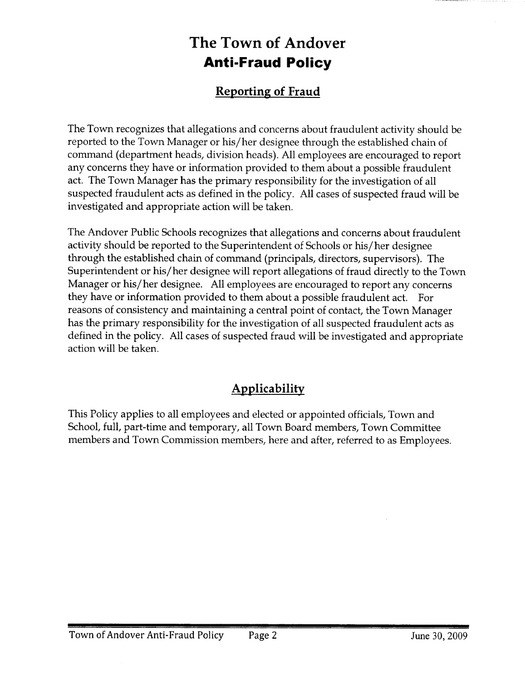#### Reporting of Fraud

The Town recognizes that allegations and concerns about fraudulent activity should be reported to the Town Manager or his/her designee through the established chain of command (department heads, division heads). All employees are encouraged to report any concerns they have or information provided to them about a possible fraudulent act. The Town Manager has the primary responsibility for the investigation of all suspected fraudulent acts as defined in the policy. All cases of suspected fraud will be investigated and appropriate action will be taken

The Andover Public Schools recognizes that allegations and concerns about fraudulent activity should be reported to the Superintendent of Schools or his/her designee through the established chain of command (principals, directors, supervisors). The Superintendent or his/her designee will report allegations of fraud directly to the Town Manager or his/her designee. All employees are encouraged to report any concerns they have or information provided to them about a possible fraudulent act. For reasons of consistency and maintaining a central point of contact, the Town Manager has the primary responsibility for the investigation of all suspected fraudulent acts as defined in the policy. All cases of suspected fraud will be investigated and appropriate action will be taken

### Applicability

This Policy applies to all employees and elected or appointed officials, Town and School, full, part-time and temporary, all Town Board members, Town Committee members and Town Commission members, here and after, referred to as Employees.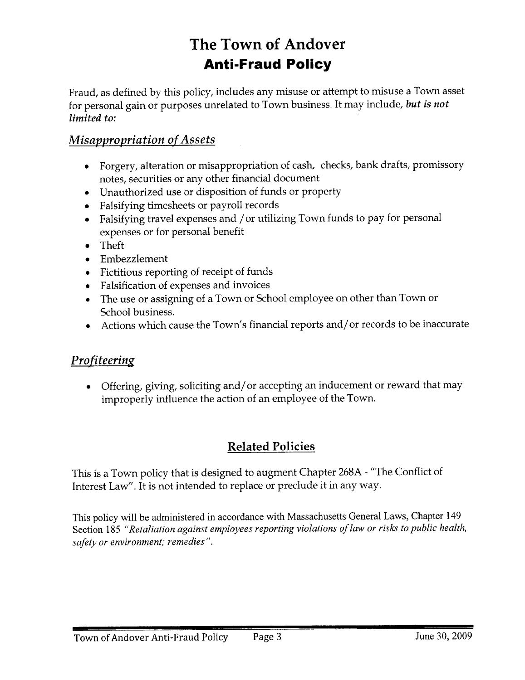Fraud, as defined by this policy, includes any misuse or attempt to misuse a Town asset for personal gain or purposes unrelated to Town business. It may include, but is not limited to

#### Misappropriation of Assets

- Forgery, alteration or misappropriation of cash, checks, bank drafts, promissory notes, securities or any other financial document
- Unauthorized use or disposition of funds or property
- Falsifying timesheets or payroll records
- Falsifying travel expenses and / or utilizing Town funds to pay for personal expenses or for personal benefit
- Theft
- Embezzlement
- Fictitious reporting of receipt of funds
- Falsification of expenses and invoices
- The use or assigning of a Town or School employee on other than Town or School business
- Actions which cause the Town's financial reports and/or records to be inaccurate

#### Profiteering

Offering, giving, soliciting and/or accepting an inducement or reward that may improperly influence the action of an employee of the Town

#### Related Policies

This is a Town policy that is designed to augment Chapter 268A - "The Conflict of Interest Law". It is not intended to replace or preclude it in any way.

This policy will be administered in accordance with Massachusetts General Laws, Chapter 149 Section 185 "Retaliation against employees reporting violations of law or risks to public health, safety or environment; remedies".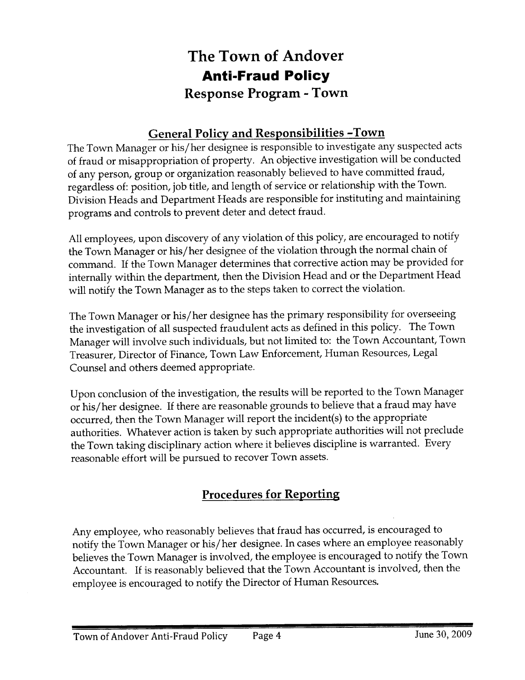## The Town of Andover **Anti-Fraud Policy** Response Program - Town

#### General Policy and Responsibilities - Town

The Town Manager or his/her designee is responsible to investigate any suspected acts of fraud or misappropriation of property. An objective investigation will be conducted of any person group or organization reasonably believed tohave committed fraud regardless of: position, job title, and length of service or relationship with the Town. Division Heads and Department Heads are responsible for instituting and maintaining programs and controls to prevent deter and detect fraud

All employees, upon discovery of any violation of this policy, are encouraged to notify the Town Manager or his/her designee of the violation through the normal chain of command. If the Town Manager determines that corrective action may be provided for internally within the department, then the Division Head and or the Department Head will notify the Town Manager as to the steps taken to correct the violation

The Town Manager or his/her designee has the primary responsibility for overseeing the investigation of all suspected fraudulent acts as defined in this policy. The Town Manager will involve such individuals, but not limited to: the Town Accountant, Town Treasurer, Director of Finance, Town Law Enforcement, Human Resources, Legal Counsel and others deemed appropriate

Upon conclusion of the investigation, the results will be reported to the Town Manager or his/her designee. If there are reasonable grounds to believe that a fraud may have occurred, then the Town Manager will report the incident(s) to the appropriate authorities. Whatever action is taken by such appropriate authorities will not preclude the Town taking disciplinary action where it believes discipline is warranted. Every reasonable effort will be pursued to recover Town assets

#### Procedures for Reporting

Any employee, who reasonably believes that fraud has occurred, is encouraged to notify the Town Manager or his/her designee. In cases where an employee reasonably believes the Town Manager is involved, the employee is encouraged to notify the Town Accountant. If is reasonably believed that the Town Accountant is involved, then the employee is encouraged to notify the Director of Human Resources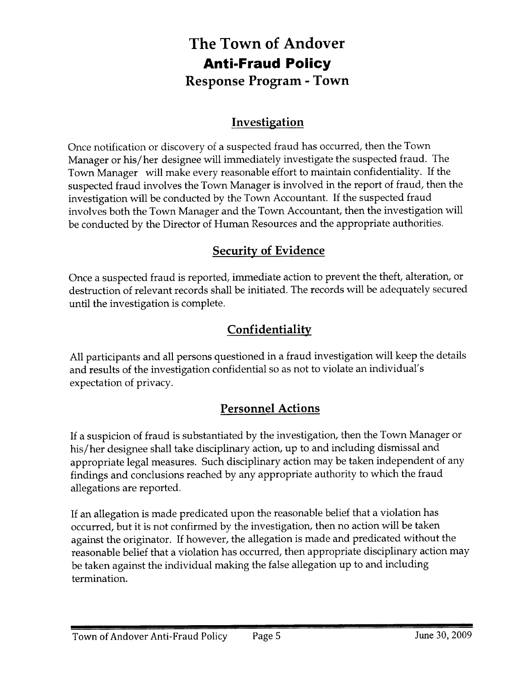## The Town of Andover **Anti-Fraud Policy** Response Program - Town

#### Investigation

Once notification or discovery of a suspected fraud has occurred, then the Town Manager or his/her designee will immediately investigate the suspected fraud. The Town Manager will make every reasonable effort to maintain confidentiality. If the suspected fraud involves the Town Manager is involved in the report of fraud, then the investigation will be conducted by the Town Accountant. If the suspected fraud involves both the Town Manager and the Town Accountant, then the investigation will be conducted by the Director of Human Resources and the appropriate authorities.

### Security of Evidence

Once a suspected fraud is reported, immediate action to prevent the theft, alteration, or destruction of relevant records shall be initiated. The records will be adequately secured until the investigation is complete

### Confidentiality

All participants and all persons questioned in a fraud investigation will keep the details and results of the investigation confidential so as not to violate an individual's expectation of privacy

### Personnel Actions

If a suspicion of fraud is substantiated by the investigation, then the Town Manager or his/her designee shall take disciplinary action, up to and including dismissal and appropriate legal measures. Such disciplinary action may be taken independent of any findings and conclusions reached by any appropriate authority to which the fraud allegations are reported

If an allegation is made predicated upon the reasonable belief that <sup>a</sup> violation has occurred, but it is not confirmed by the investigation, then no action will be taken against the originator. If however, the allegation is made and predicated without the reasonable belief that a violation has occurred, then appropriate disciplinary action may be taken against the individual making the false allegation up to and including termination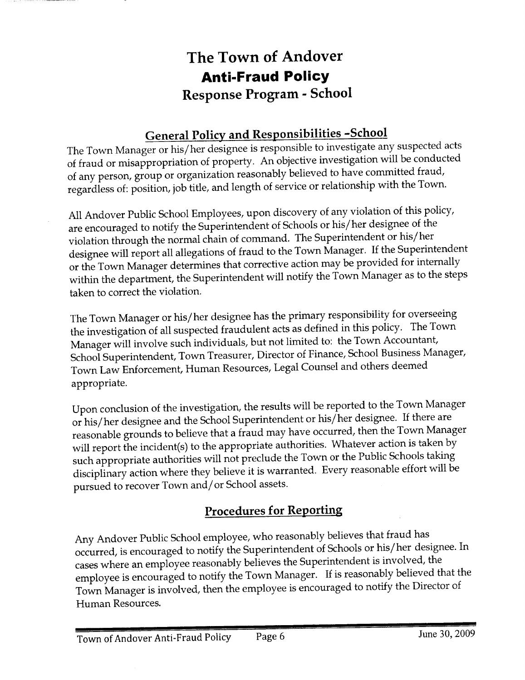## The Town of Andover **Anti-Fraud Policy** Response Program - School

### General Policy and Responsibilities - School

The Town Manager or his/her designee is responsible to investigate any suspected acts of fraud or misappropriation of property. An objective investigation will be conducted of any person, group or organization reasonably believed to have committed fraud regardless of: position, job title, and length of service or relationship with the Town.

All Andover Public School Employees, upon discovery of any violation of this policy, are encouraged to notify the Superintendent of Schools or his/her designee of the violation through the normal chain of command. The Superintendent or his/her designee will report all allegations of fraud to the Town Manager. If the Superintendent or the Town Manager determines that corrective action may be provided for internally within the department, the Superintendent will notify the Town Manager as to the steps taken to correct the violation

The Town Manager or his/her designee has the primary responsibility for overseeing the investigation of all suspected fraudulent acts as defined in this policy. The Town Manager will involve such individuals, but not limited to: the Town Accountant, School Superintendent, Town Treasurer, Director of Finance, School Business Manager, Town Law Enforcement, Human Resources, Legal Counsel and others deemed appropriate

Upon conclusion of the investigation, the results will be reported to the Town Manager or his/her designee and the School Superintendent or his/her designee. If there are reasonable grounds to believe that a fraud may have occurred, then the Town Manager will report the incident(s) to the appropriate authorities. Whatever action is taken by such appropriate authorities will not preclude the Town or the Public Schools taking disciplinary action where they believe it is warranted. Every reasonable effort will be pursued to recover Town and/or School assets.

### Procedures for Reporting

Any Andover Public School employee, who reasonably believes that fraud has occurred, is encouraged to notify the Superintendent of Schools or his/her designee. In cases where an employee reasonably believes the Superintendent is involved, the employee is encouraged to notify the Town Manager. If is reasonably believed that the Town Manager is involved, then the employee is encouraged to notify the Director of Human Resources.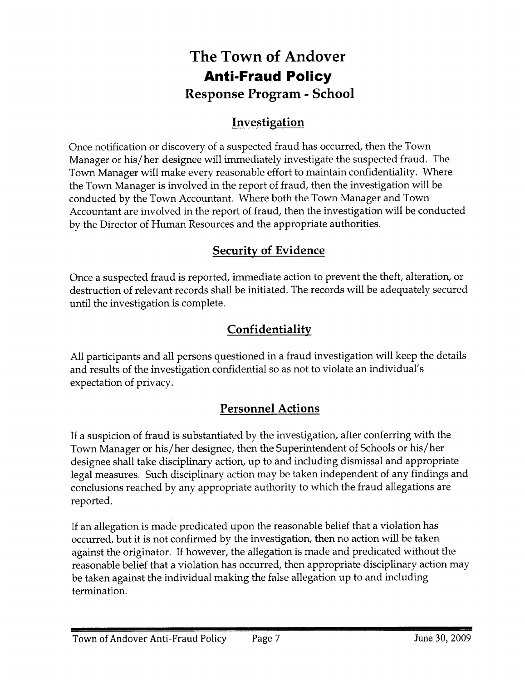## The Town of Andover **Anti-Fraud Policy** Response Program - School

#### Investigation

Once notification or discovery of a suspected fraud has occurred, then the Town Manager or his/her designee will immediately investigate the suspected fraud. The Town Manager will make every reasonable effort to maintain confidentiality. Where the Town Manager is involved in the report of fraud, then the investigation will be conducted by the Town Accountant. Where both the Town Manager and Town Accountant are involved in the report of fraud, then the investigation will be conducted by the Director of Human Resources and the appropriate authorities.

### Security of Evidence

Once a suspected fraud is reported, immediate action to prevent the theft, alteration, or destruction of relevant records shall be initiated. The records will be adequately secured until the investigation is complete

### Confidentiality

All participants and all persons questioned in <sup>a</sup> fraud investigation will keep the details and results of the investigation confidential so as not to violate an individual's expectation of privacy

### Personnel Actions

If a suspicion of fraud is substantiated by the investigation after conferring with the Town Manager or his/her designee, then the Superintendent of Schools or his/her designee shall take disciplinary action, up to and including dismissal and appropriate legal measures. Such disciplinary action may be taken independent of any findings and conclusions reached by any appropriate authority to which the fraud allegations are reported

If an allegation is made predicated upon the reasonable belief that a violation has occurred, but it is not confirmed by the investigation, then no action will be taken against the originator. If however, the allegation is made and predicated without the reasonable belief that a violation has occurred, then appropriate disciplinary action may be taken against the individual making the false allegation up to and including termination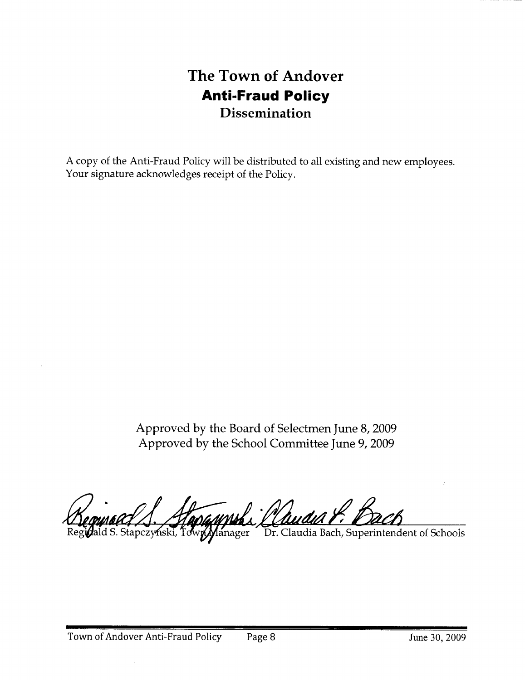### The Town of Andover **Anti-Fraud Policy Dissemination**

A copy of the Anti-Fraud Policy will be distributed to all existing and new employees. Your signature acknowledges receipt of the Policy.

> Approved by the Board of Selectmen June 8, 2009 Approved by the School Committee June 9, 2009

<u>andia Pi</u>

Dr. Claudia Bach, Superintendent of Schools dald S. Stapczyński, 1 lánager